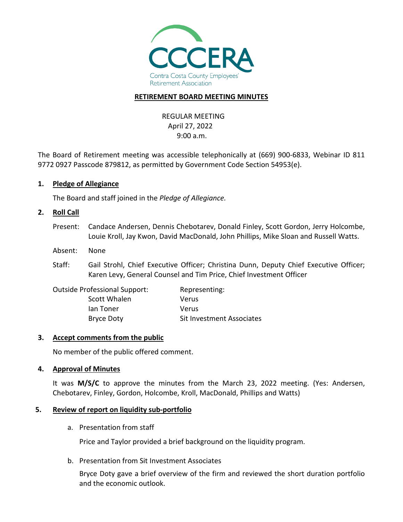

### **RETIREMENT BOARD MEETING MINUTES**

REGULAR MEETING April 27, 2022 9:00 a.m.

The Board of Retirement meeting was accessible telephonically at (669) 900-6833, Webinar ID 811 9772 0927 Passcode 879812, as permitted by Government Code Section 54953(e).

### **1. Pledge of Allegiance**

The Board and staff joined in the *Pledge of Allegiance.*

#### **2. Roll Call**

- Present: Candace Andersen, Dennis Chebotarev, Donald Finley, Scott Gordon, Jerry Holcombe, Louie Kroll, Jay Kwon, David MacDonald, John Phillips, Mike Sloan and Russell Watts.
- Absent: None
- Staff: Gail Strohl, Chief Executive Officer; Christina Dunn, Deputy Chief Executive Officer; Karen Levy, General Counsel and Tim Price, Chief Investment Officer

| <b>Outside Professional Support:</b> | Representing:             |
|--------------------------------------|---------------------------|
| Scott Whalen                         | Verus                     |
| lan Toner                            | Verus                     |
| Bryce Doty                           | Sit Investment Associates |

#### **3. Accept comments from the public**

No member of the public offered comment.

#### **4. Approval of Minutes**

It was **M/S/C** to approve the minutes from the March 23, 2022 meeting. (Yes: Andersen, Chebotarev, Finley, Gordon, Holcombe, Kroll, MacDonald, Phillips and Watts)

#### **5. Review of report on liquidity sub-portfolio**

a. Presentation from staff

Price and Taylor provided a brief background on the liquidity program.

b. Presentation from Sit Investment Associates

Bryce Doty gave a brief overview of the firm and reviewed the short duration portfolio and the economic outlook.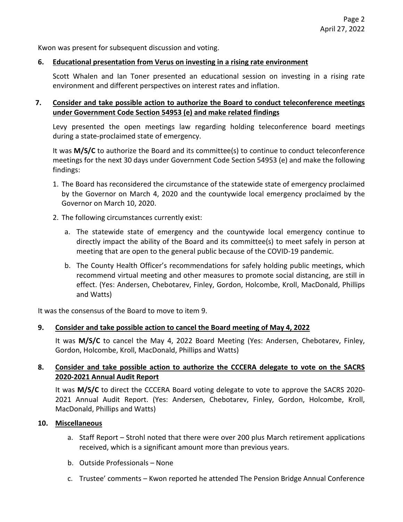Kwon was present for subsequent discussion and voting.

### **6. Educational presentation from Verus on investing in a rising rate environment**

Scott Whalen and Ian Toner presented an educational session on investing in a rising rate environment and different perspectives on interest rates and inflation.

## **7. Consider and take possible action to authorize the Board to conduct teleconference meetings under Government Code Section 54953 (e) and make related findings**

Levy presented the open meetings law regarding holding teleconference board meetings during a state-proclaimed state of emergency.

It was **M/S/C** to authorize the Board and its committee(s) to continue to conduct teleconference meetings for the next 30 days under Government Code Section 54953 (e) and make the following findings:

- 1. The Board has reconsidered the circumstance of the statewide state of emergency proclaimed by the Governor on March 4, 2020 and the countywide local emergency proclaimed by the Governor on March 10, 2020.
- 2. The following circumstances currently exist:
	- a. The statewide state of emergency and the countywide local emergency continue to directly impact the ability of the Board and its committee(s) to meet safely in person at meeting that are open to the general public because of the COVID-19 pandemic.
	- b. The County Health Officer's recommendations for safely holding public meetings, which recommend virtual meeting and other measures to promote social distancing, are still in effect. (Yes: Andersen, Chebotarev, Finley, Gordon, Holcombe, Kroll, MacDonald, Phillips and Watts)

It was the consensus of the Board to move to item 9.

# **9. Consider and take possible action to cancel the Board meeting of May 4, 2022**

It was **M/S/C** to cancel the May 4, 2022 Board Meeting (Yes: Andersen, Chebotarev, Finley, Gordon, Holcombe, Kroll, MacDonald, Phillips and Watts)

# **8. Consider and take possible action to authorize the CCCERA delegate to vote on the SACRS 2020-2021 Annual Audit Report**

It was **M/S/C** to direct the CCCERA Board voting delegate to vote to approve the SACRS 2020- 2021 Annual Audit Report. (Yes: Andersen, Chebotarev, Finley, Gordon, Holcombe, Kroll, MacDonald, Phillips and Watts)

# **10. Miscellaneous**

- a. Staff Report Strohl noted that there were over 200 plus March retirement applications received, which is a significant amount more than previous years.
- b. Outside Professionals None
- c. Trustee' comments Kwon reported he attended The Pension Bridge Annual Conference